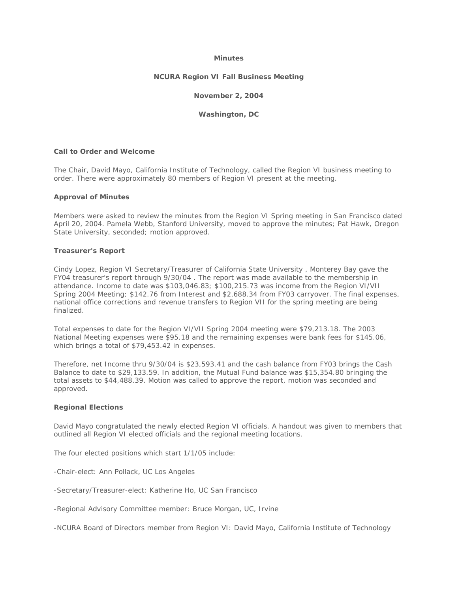# **Minutes**

## **NCURA Region VI Fall Business Meeting**

## **November 2, 2004**

### **Washington, DC**

#### **Call to Order and Welcome**

The Chair, David Mayo, California Institute of Technology, called the Region VI business meeting to order. There were approximately 80 members of Region VI present at the meeting.

#### **Approval of Minutes**

Members were asked to review the minutes from the Region VI Spring meeting in San Francisco dated April 20, 2004. Pamela Webb, Stanford University, moved to approve the minutes; Pat Hawk, Oregon State University, seconded; motion approved.

#### **Treasurer's Report**

Cindy Lopez, Region VI Secretary/Treasurer of California State University , Monterey Bay gave the FY04 treasurer's report through 9/30/04 . The report was made available to the membership in attendance. Income to date was \$103,046.83; \$100,215.73 was income from the Region VI/VII Spring 2004 Meeting; \$142.76 from Interest and \$2,688.34 from FY03 carryover. The final expenses, national office corrections and revenue transfers to Region VII for the spring meeting are being finalized.

Total expenses to date for the Region VI/VII Spring 2004 meeting were \$79,213.18. The 2003 National Meeting expenses were \$95.18 and the remaining expenses were bank fees for \$145.06, which brings a total of \$79,453.42 in expenses.

Therefore, net Income thru 9/30/04 is \$23,593.41 and the cash balance from FY03 brings the Cash Balance to date to \$29,133.59. In addition, the Mutual Fund balance was \$15,354.80 bringing the total assets to \$44,488.39. Motion was called to approve the report, motion was seconded and approved.

# **Regional Elections**

David Mayo congratulated the newly elected Region VI officials. A handout was given to members that outlined all Region VI elected officials and the regional meeting locations.

The four elected positions which start 1/1/05 include:

-Chair-elect: Ann Pollack, UC Los Angeles

-Secretary/Treasurer-elect: Katherine Ho, UC San Francisco

-Regional Advisory Committee member: Bruce Morgan, UC, Irvine

-NCURA Board of Directors member from Region VI: David Mayo, California Institute of Technology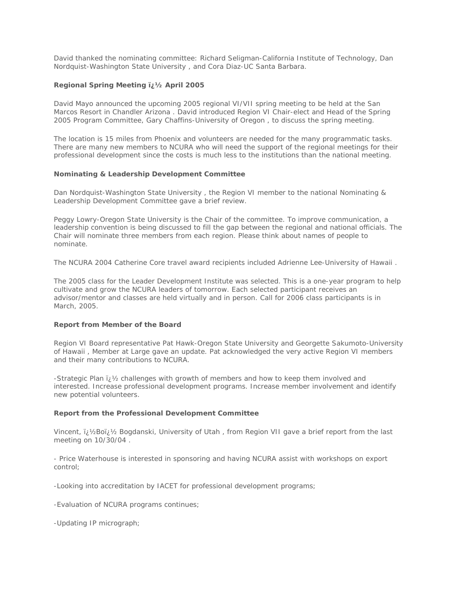David thanked the nominating committee: Richard Seligman-California Institute of Technology, Dan Nordquist-Washington State University , and Cora Diaz-UC Santa Barbara.

# **Regional Spring Meeting iz 1/2 April 2005**

David Mayo announced the upcoming 2005 regional VI/VII spring meeting to be held at the San Marcos Resort in Chandler Arizona . David introduced Region VI Chair-elect and Head of the Spring 2005 Program Committee, Gary Chaffins-University of Oregon , to discuss the spring meeting.

The location is 15 miles from Phoenix and volunteers are needed for the many programmatic tasks. There are many new members to NCURA who will need the support of the regional meetings for their professional development since the costs is much less to the institutions than the national meeting.

# **Nominating & Leadership Development Committee**

Dan Nordquist-Washington State University , the Region VI member to the national Nominating & Leadership Development Committee gave a brief review.

Peggy Lowry-Oregon State University is the Chair of the committee. To improve communication, a leadership convention is being discussed to fill the gap between the regional and national officials. The Chair will nominate three members from each region. Please think about names of people to nominate.

The NCURA 2004 Catherine Core travel award recipients included Adrienne Lee-University of Hawaii .

The 2005 class for the Leader Development Institute was selected. This is a one-year program to help cultivate and grow the NCURA leaders of tomorrow. Each selected participant receives an advisor/mentor and classes are held virtually and in person. Call for 2006 class participants is in March, 2005.

# **Report from Member of the Board**

Region VI Board representative Pat Hawk-Oregon State University and Georgette Sakumoto-University of Hawaii , Member at Large gave an update. Pat acknowledged the very active Region VI members and their many contributions to NCURA.

-Strategic Plan  $i\chi$  challenges with growth of members and how to keep them involved and interested. Increase professional development programs. Increase member involvement and identify new potential volunteers.

# **Report from the Professional Development Committee**

Vincent, ii 1/2Boï لاغ Bogdanski, University of Utah, from Region VII gave a brief report from the last meeting on 10/30/04 .

- Price Waterhouse is interested in sponsoring and having NCURA assist with workshops on export control;

-Looking into accreditation by IACET for professional development programs;

-Evaluation of NCURA programs continues;

-Updating IP micrograph;